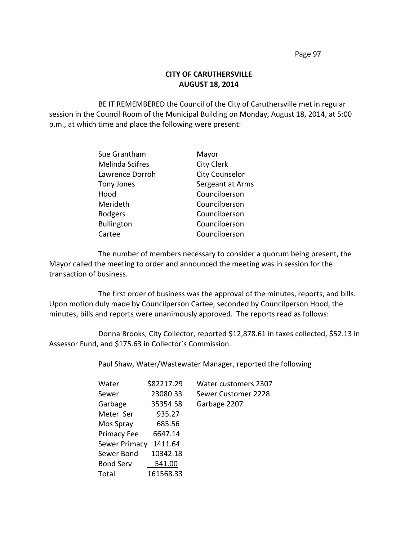## **CITY OF CARUTHERSVILLE AUGUST 18, 2014**

BE IT REMEMBERED the Council of the City of Caruthersville met in regular session in the Council Room of the Municipal Building on Monday, August 18, 2014, at 5:00 p.m., at which time and place the following were present:

| Sue Grantham           | Mayor                 |
|------------------------|-----------------------|
| <b>Melinda Scifres</b> | <b>City Clerk</b>     |
| Lawrence Dorroh        | <b>City Counselor</b> |
| Tony Jones             | Sergeant at Arms      |
| Hood                   | Councilperson         |
| Merideth               | Councilperson         |
| Rodgers                | Councilperson         |
| <b>Bullington</b>      | Councilperson         |
| Cartee                 | Councilperson         |

The number of members necessary to consider a quorum being present, the Mayor called the meeting to order and announced the meeting was in session for the transaction of business.

The first order of business was the approval of the minutes, reports, and bills. Upon motion duly made by Councilperson Cartee, seconded by Councilperson Hood, the minutes, bills and reports were unanimously approved. The reports read as follows:

Donna Brooks, City Collector, reported \$12,878.61 in taxes collected, \$52.13 in Assessor Fund, and \$175.63 in Collector's Commission.

Paul Shaw, Water/Wastewater Manager, reported the following

| Water            | \$82217.29 | <b>Water customers 2307</b> |
|------------------|------------|-----------------------------|
| Sewer            | 23080.33   | Sewer Customer 2228         |
| Garbage          | 35354.58   | Garbage 2207                |
| Meter Ser        | 935.27     |                             |
| Mos Spray        | 685.56     |                             |
| Primacy Fee      | 6647.14    |                             |
| Sewer Primacy    | 1411.64    |                             |
| Sewer Bond       | 10342.18   |                             |
| <b>Bond Serv</b> | 541.00     |                             |
| Total            | 161568.33  |                             |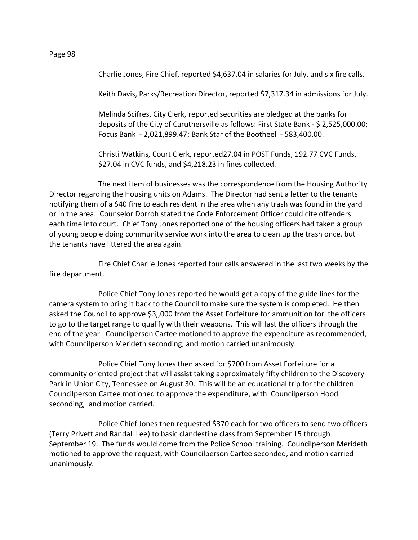Charlie Jones, Fire Chief, reported \$4,637.04 in salaries for July, and six fire calls.

Keith Davis, Parks/Recreation Director, reported \$7,317.34 in admissions for July.

Melinda Scifres, City Clerk, reported securities are pledged at the banks for deposits of the City of Caruthersville as follows: First State Bank - \$ 2,525,000.00; Focus Bank - 2,021,899.47; Bank Star of the Bootheel - 583,400.00.

Christi Watkins, Court Clerk, reported27.04 in POST Funds, 192.77 CVC Funds, \$27.04 in CVC funds, and \$4,218.23 in fines collected.

The next item of businesses was the correspondence from the Housing Authority Director regarding the Housing units on Adams. The Director had sent a letter to the tenants notifying them of a \$40 fine to each resident in the area when any trash was found in the yard or in the area. Counselor Dorroh stated the Code Enforcement Officer could cite offenders each time into court. Chief Tony Jones reported one of the housing officers had taken a group of young people doing community service work into the area to clean up the trash once, but the tenants have littered the area again.

Fire Chief Charlie Jones reported four calls answered in the last two weeks by the fire department.

Police Chief Tony Jones reported he would get a copy of the guide lines for the camera system to bring it back to the Council to make sure the system is completed. He then asked the Council to approve \$3,,000 from the Asset Forfeiture for ammunition for the officers to go to the target range to qualify with their weapons. This will last the officers through the end of the year. Councilperson Cartee motioned to approve the expenditure as recommended, with Councilperson Merideth seconding, and motion carried unanimously.

Police Chief Tony Jones then asked for \$700 from Asset Forfeiture for a community oriented project that will assist taking approximately fifty children to the Discovery Park in Union City, Tennessee on August 30. This will be an educational trip for the children. Councilperson Cartee motioned to approve the expenditure, with Councilperson Hood seconding, and motion carried.

Police Chief Jones then requested \$370 each for two officers to send two officers (Terry Privett and Randall Lee) to basic clandestine class from September 15 through September 19. The funds would come from the Police School training. Councilperson Merideth motioned to approve the request, with Councilperson Cartee seconded, and motion carried unanimously.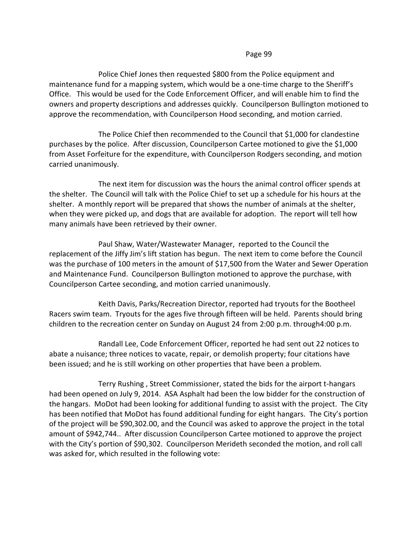Police Chief Jones then requested \$800 from the Police equipment and maintenance fund for a mapping system, which would be a one-time charge to the Sheriff's Office. This would be used for the Code Enforcement Officer, and will enable him to find the owners and property descriptions and addresses quickly. Councilperson Bullington motioned to approve the recommendation, with Councilperson Hood seconding, and motion carried.

The Police Chief then recommended to the Council that \$1,000 for clandestine purchases by the police. After discussion, Councilperson Cartee motioned to give the \$1,000 from Asset Forfeiture for the expenditure, with Councilperson Rodgers seconding, and motion carried unanimously.

The next item for discussion was the hours the animal control officer spends at the shelter. The Council will talk with the Police Chief to set up a schedule for his hours at the shelter. A monthly report will be prepared that shows the number of animals at the shelter, when they were picked up, and dogs that are available for adoption. The report will tell how many animals have been retrieved by their owner.

Paul Shaw, Water/Wastewater Manager, reported to the Council the replacement of the Jiffy Jim's lift station has begun. The next item to come before the Council was the purchase of 100 meters in the amount of \$17,500 from the Water and Sewer Operation and Maintenance Fund. Councilperson Bullington motioned to approve the purchase, with Councilperson Cartee seconding, and motion carried unanimously.

Keith Davis, Parks/Recreation Director, reported had tryouts for the Bootheel Racers swim team. Tryouts for the ages five through fifteen will be held. Parents should bring children to the recreation center on Sunday on August 24 from 2:00 p.m. through4:00 p.m.

Randall Lee, Code Enforcement Officer, reported he had sent out 22 notices to abate a nuisance; three notices to vacate, repair, or demolish property; four citations have been issued; and he is still working on other properties that have been a problem.

Terry Rushing , Street Commissioner, stated the bids for the airport t-hangars had been opened on July 9, 2014. ASA Asphalt had been the low bidder for the construction of the hangars. MoDot had been looking for additional funding to assist with the project. The City has been notified that MoDot has found additional funding for eight hangars. The City's portion of the project will be \$90,302.00, and the Council was asked to approve the project in the total amount of \$942,744.. After discussion Councilperson Cartee motioned to approve the project with the City's portion of \$90,302. Councilperson Merideth seconded the motion, and roll call was asked for, which resulted in the following vote: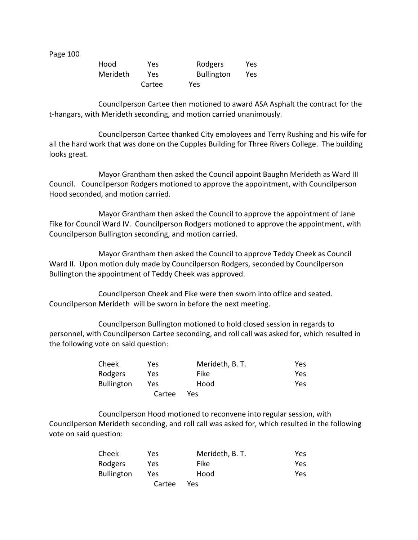| Hood     | Yes    | Rodgers           | Yes |
|----------|--------|-------------------|-----|
| Merideth | Yes.   | <b>Bullington</b> | Yes |
|          | Cartee | Yes               |     |

Councilperson Cartee then motioned to award ASA Asphalt the contract for the t-hangars, with Merideth seconding, and motion carried unanimously.

Councilperson Cartee thanked City employees and Terry Rushing and his wife for all the hard work that was done on the Cupples Building for Three Rivers College. The building looks great.

Mayor Grantham then asked the Council appoint Baughn Merideth as Ward III Council. Councilperson Rodgers motioned to approve the appointment, with Councilperson Hood seconded, and motion carried.

Mayor Grantham then asked the Council to approve the appointment of Jane Fike for Council Ward IV. Councilperson Rodgers motioned to approve the appointment, with Councilperson Bullington seconding, and motion carried.

Mayor Grantham then asked the Council to approve Teddy Cheek as Council Ward II. Upon motion duly made by Councilperson Rodgers, seconded by Councilperson Bullington the appointment of Teddy Cheek was approved.

Councilperson Cheek and Fike were then sworn into office and seated. Councilperson Merideth will be sworn in before the next meeting.

Councilperson Bullington motioned to hold closed session in regards to personnel, with Councilperson Cartee seconding, and roll call was asked for, which resulted in the following vote on said question:

| Cheek             | Yes.   | Merideth, B. T. | Yes |
|-------------------|--------|-----------------|-----|
| Rodgers           | Yes    | Fike            | Yes |
| <b>Bullington</b> | Yes    | Hood            | Yes |
|                   | Cartee | Yes             |     |

Councilperson Hood motioned to reconvene into regular session, with Councilperson Merideth seconding, and roll call was asked for, which resulted in the following vote on said question:

| Cheek             | Yes    | Merideth, B. T. | Yes |
|-------------------|--------|-----------------|-----|
| Rodgers           | Yes.   | Fike            | Yes |
| <b>Bullington</b> | Yes.   | Hood            | Yes |
|                   | Cartee | Yes             |     |